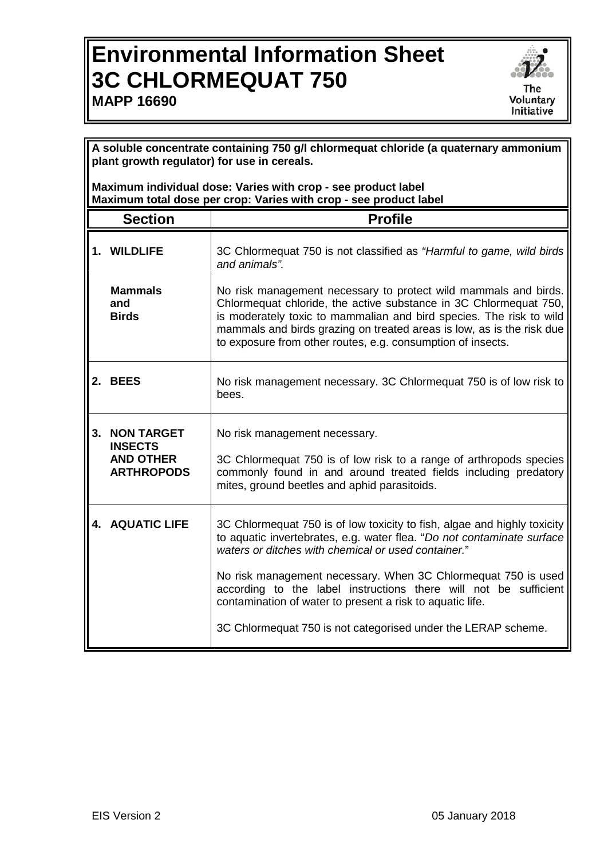## **Environmental Information Sheet 3C CHLORMEQUAT 750 MAPP 16690**



**A soluble concentrate containing 750 g/l chlormequat chloride (a quaternary ammonium plant growth regulator) for use in cereals.**

**Maximum individual dose: Varies with crop - see product label Maximum total dose per crop: Varies with crop - see product label**

|    | <b>Section</b>                                                               | <b>Profile</b>                                                                                                                                                                                                                                                                                                                                      |
|----|------------------------------------------------------------------------------|-----------------------------------------------------------------------------------------------------------------------------------------------------------------------------------------------------------------------------------------------------------------------------------------------------------------------------------------------------|
|    | 1. WILDLIFE                                                                  | 3C Chlormequat 750 is not classified as "Harmful to game, wild birds<br>and animals".                                                                                                                                                                                                                                                               |
|    | <b>Mammals</b><br>and<br><b>Birds</b>                                        | No risk management necessary to protect wild mammals and birds.<br>Chlormequat chloride, the active substance in 3C Chlormequat 750,<br>is moderately toxic to mammalian and bird species. The risk to wild<br>mammals and birds grazing on treated areas is low, as is the risk due<br>to exposure from other routes, e.g. consumption of insects. |
|    | 2. BEES                                                                      | No risk management necessary. 3C Chlormequat 750 is of low risk to<br>bees.                                                                                                                                                                                                                                                                         |
| 3. | <b>NON TARGET</b><br><b>INSECTS</b><br><b>AND OTHER</b><br><b>ARTHROPODS</b> | No risk management necessary.<br>3C Chlormequat 750 is of low risk to a range of arthropods species<br>commonly found in and around treated fields including predatory<br>mites, ground beetles and aphid parasitoids.                                                                                                                              |
|    | <b>4. AQUATIC LIFE</b>                                                       | 3C Chlormequat 750 is of low toxicity to fish, algae and highly toxicity<br>to aquatic invertebrates, e.g. water flea. "Do not contaminate surface<br>waters or ditches with chemical or used container."                                                                                                                                           |
|    |                                                                              | No risk management necessary. When 3C Chlormequat 750 is used<br>according to the label instructions there will not be sufficient<br>contamination of water to present a risk to aquatic life.                                                                                                                                                      |
|    |                                                                              | 3C Chlormequat 750 is not categorised under the LERAP scheme.                                                                                                                                                                                                                                                                                       |